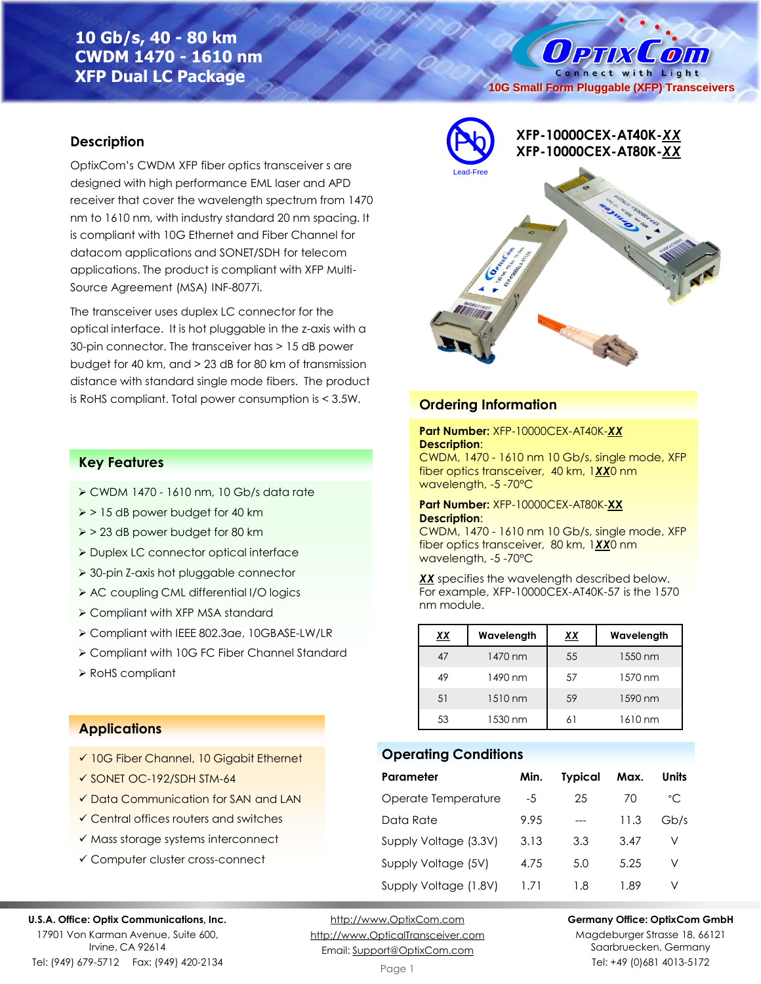# **10 Gb/s, 40 - 80 km CWDM 1470 - 1610 nm XFP Dual LC Package**

**Description**

OptixCom's CWDM XFP fiber optics transceiver s are designed with high performance EML laser and APD receiver that cover the wavelength spectrum from 1470 nm to 1610 nm, with industry standard 20 nm spacing. It is compliant with 10G Ethernet and Fiber Channel for datacom applications and SONET/SDH for telecom applications. The product is compliant with XFP Multi-Source Agreement (MSA) INF-8077i.

The transceiver uses duplex LC connector for the optical interface. It is hot pluggable in the z-axis with a 30-pin connector. The transceiver has > 15 dB power budget for 40 km, and > 23 dB for 80 km of transmission distance with standard single mode fibers. The product is RoHS compliant. Total power consumption is < 3.5W. **Ordering Information**

### **Key Features**

- ➢ CWDM 1470 1610 nm, 10 Gb/s data rate
- ➢ > 15 dB power budget for 40 km
- ➢ > 23 dB power budget for 80 km
- ➢ Duplex LC connector optical interface
- ➢ 30-pin Z-axis hot pluggable connector
- ➢ AC coupling CML differential I/O logics
- ➢ Compliant with XFP MSA standard
- ➢ Compliant with IEEE 802.3ae, 10GBASE-LW/LR
- ➢ Compliant with 10G FC Fiber Channel Standard
- ➢ RoHS compliant

# **XFP-10000CEX-AT40K-***XX* Pb **XFP-10000CEX-AT80K-***XX* Lead-Free

**10G Small Form Pluggable (XFP) Transceivers**

Connect with Light

 $\overline{O}$ 

O PTIX

### **Part Number:** XFP-10000CEX-AT40K-*XX* **Description**:

CWDM, 1470 - 1610 nm 10 Gb/s, single mode, XFP fiber optics transceiver, 40 km, 1*XX*0 nm wavelength, -5 -70°C

### **Part Number:** XFP-10000CEX-AT80K-**XX Description**:

CWDM, 1470 - 1610 nm 10 Gb/s, single mode, XFP fiber optics transceiver, 80 km, 1*XX*0 nm wavelength, -5 -70°C

*XX* specifies the wavelength described below. For example, XFP-10000CEX-AT40K-57 is the 1570 nm module.

| ХX | Wavelength | xх | Wavelength |
|----|------------|----|------------|
| 47 | 1470 nm    | 55 | 1550 nm    |
| 49 | 1490 nm    | 57 | 1570 nm    |
| 51 | 1510 nm    | 59 | 1590 nm    |
| 53 | 1530 nm    |    | 1610 nm    |

### **Operating Conditions**

| Parameter             | Min. | <b>Typical</b> | Max. | Units |
|-----------------------|------|----------------|------|-------|
| Operate Temperature   | -5   | 25             | 70   | °C    |
| Data Rate             | 9.95 |                | 11.3 | Gb/s  |
| Supply Voltage (3.3V) | 3.13 | 3.3            | 3.47 | V     |
| Supply Voltage (5V)   | 4.75 | 5.0            | 5.25 | V     |
| Supply Voltage (1.8V) | 1 71 | 1.8            | 1.89 | V     |

### **Applications**

- ✓ 10G Fiber Channel, 10 Gigabit Ethernet
- ✓ SONET OC-192/SDH STM-64
- ✓ Data Communication for SAN and LAN
- ✓ Central offices routers and switches
- ✓ Mass storage systems interconnect
- ✓ Computer cluster cross-connect

### **U.S.A. Office: Optix Communications, Inc.**

17901 Von Karman Avenue, Suite 600, Irvine, CA 92614 Tel: (949) 679-5712 Fax: (949) 420-2134

[http://www.OptixCom.com](http://www.optixcom.com/) [http://www.OpticalTransceiver.com](http://www.optoictech.com/) Email: [Support@OptixCom.com](mailto:Support@optoICtech.com)

### **Germany Office: OptixCom GmbH**

Magdeburger Strasse 18, 66121 Saarbruecken, Germany Tel: +49 (0)681 4013-5172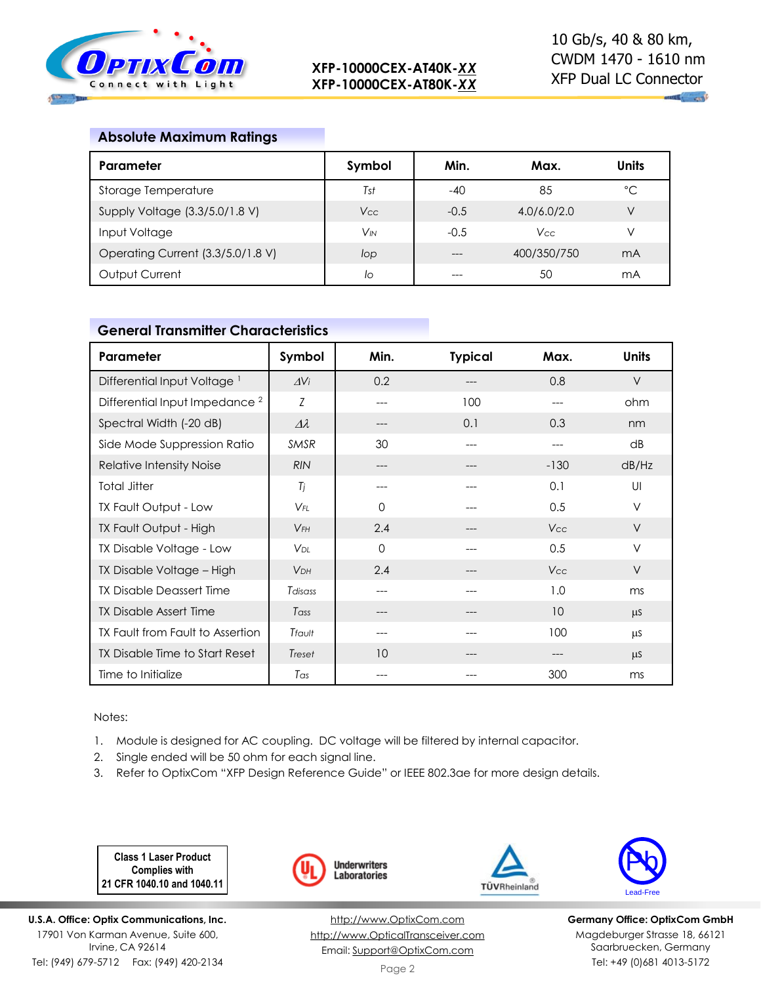

## **Absolute Maximum Ratings**

| Parameter                         | Symbol                | Min.   | Max.        | <b>Units</b> |
|-----------------------------------|-----------------------|--------|-------------|--------------|
| Storage Temperature               | Tst                   | -40    | 85          | °C           |
| Supply Voltage (3.3/5.0/1.8 V)    | Vcc                   | $-0.5$ | 4.0/6.0/2.0 | V            |
| Input Voltage                     | <b>V<sub>IN</sub></b> | $-0.5$ | <b>Vcc</b>  | V            |
| Operating Current (3.3/5.0/1.8 V) | lop                   |        | 400/350/750 | mA           |
| Output Current                    | lo                    |        | 50          | mA           |

## **General Transmitter Characteristics**

| Parameter                                 | Symbol                | Min.     | <b>Typical</b> | Max.   | <b>Units</b> |
|-------------------------------------------|-----------------------|----------|----------------|--------|--------------|
| Differential Input Voltage <sup>1</sup>   | $\Delta V_i$          | 0.2      |                | 0.8    | $\vee$       |
| Differential Input Impedance <sup>2</sup> | Ζ                     | ---      | 100            |        | ohm          |
| Spectral Width (-20 dB)                   | $\varDelta\lambda$    | ---      | 0.1            | 0.3    | nm           |
| Side Mode Suppression Ratio               | <b>SMSR</b>           | 30       | ---            | ---    | dB           |
| Relative Intensity Noise                  | <b>RIN</b>            | $---$    | ---            | $-130$ | dB/Hz        |
| <b>Total Jitter</b>                       | Tj                    | ---      |                | 0.1    | UI           |
| TX Fault Output - Low                     | $V_{FL}$              | $\Omega$ | ---            | 0.5    | $\vee$       |
| TX Fault Output - High                    | $V$ FH                | 2.4      |                | Vcc    | $\vee$       |
| TX Disable Voltage - Low                  | VDI                   | $\Omega$ |                | 0.5    | $\vee$       |
| TX Disable Voltage – High                 | <b>V<sub>DH</sub></b> | 2.4      | ---            | Vcc    | $\vee$       |
| <b>TX Disable Deassert Time</b>           | Tdisass               | ---      |                | 1.0    | ms           |
| <b>TX Disable Assert Time</b>             | Tass                  | ---      |                | 10     | $\mu$ S      |
| TX Fault from Fault to Assertion          | Tfault                | ---      |                | 100    | μS           |
| TX Disable Time to Start Reset            | Treset                | 10       | ---            | ---    | <b>LLS</b>   |
| Time to Initialize                        | Tas                   |          |                | 300    | ms           |

Notes:

1. Module is designed for AC coupling. DC voltage will be filtered by internal capacitor.

- 2. Single ended will be 50 ohm for each signal line.
- 3. Refer to OptixCom "XFP Design Reference Guide" or IEEE 802.3ae for more design details.

**Class 1 Laser Product Complies with 21 CFR 1040.10 and 1040.11**

**U.S.A. Office: Optix Communications, Inc.** 17901 Von Karman Avenue, Suite 600, Irvine, CA 92614 Tel: (949) 679-5712 Fax: (949) 420-2134



[http://www.OptixCom.com](http://www.optixcom.com/) [http://www.OpticalTransceiver.com](http://www.optoictech.com/) Email: [Support@OptixCom.com](mailto:Support@optoICtech.com)



TÜVRheinland

**Germany Office: OptixCom GmbH** Magdeburger Strasse 18, 66121 Saarbruecken, Germany Tel: +49 (0)681 4013-5172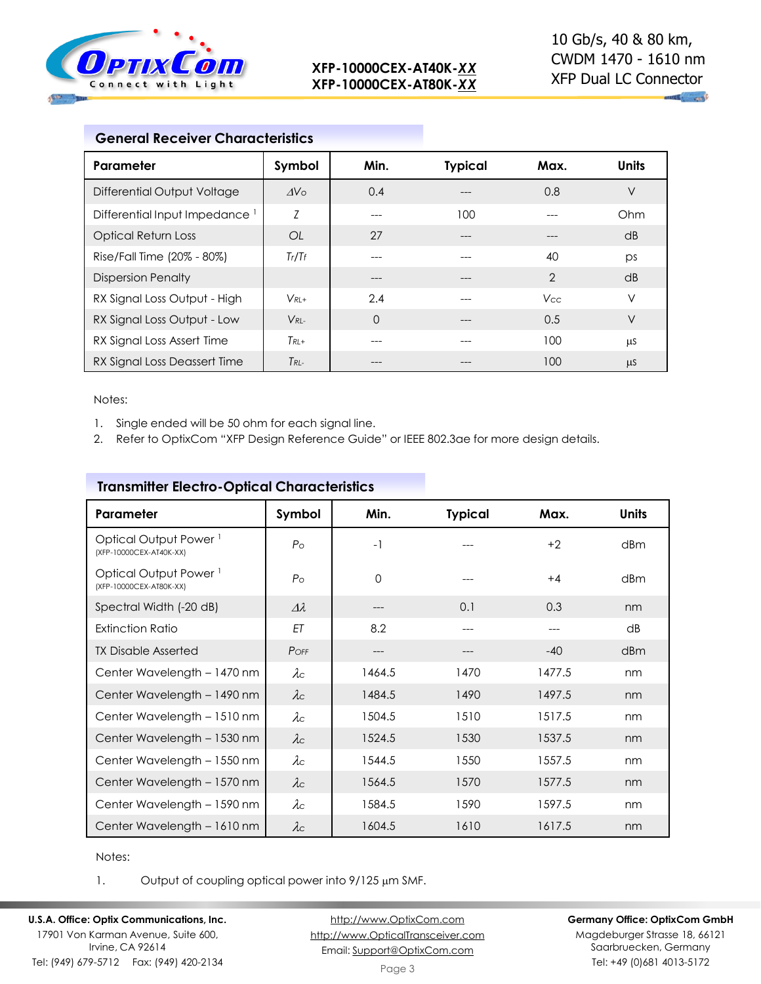

| <b>General Receiver Characteristics</b>   |                 |          |                |                |              |
|-------------------------------------------|-----------------|----------|----------------|----------------|--------------|
| Parameter                                 | Symbol          | Min.     | <b>Typical</b> | Max.           | <b>Units</b> |
| Differential Output Voltage               | AV <sub>O</sub> | 0.4      |                | 0.8            | $\vee$       |
| Differential Input Impedance <sup>1</sup> | Z               | ---      | 100            |                | Ohm          |
| <b>Optical Return Loss</b>                | OL              | 27       | ---            | $---$          | dB           |
| Rise/Fall Time (20% - 80%)                | Tr/Tr           | ---      |                | 40             | ps           |
| <b>Dispersion Penalty</b>                 |                 | ---      |                | $\overline{2}$ | dB           |
| RX Signal Loss Output - High              | $V_{RI+}$       | 2.4      |                | <b>Vcc</b>     | $\vee$       |
| RX Signal Loss Output - Low               | $V_{RI}$        | $\Omega$ | ---            | 0.5            | $\vee$       |
| RX Signal Loss Assert Time                | $T_{RI+}$       |          |                | 100            | μS           |
| RX Signal Loss Deassert Time              | $T_{RL}$        |          |                | 100            | μS           |

Notes:

- 1. Single ended will be 50 ohm for each signal line.
- 2. Refer to OptixCom "XFP Design Reference Guide" or IEEE 802.3ae for more design details.

| Parameter                                                    | Symbol             | Min.        | <b>Typical</b> | Max.   | <b>Units</b> |
|--------------------------------------------------------------|--------------------|-------------|----------------|--------|--------------|
| Optical Output Power <sup>1</sup><br>(XFP-10000CEX-AT40K-XX) | $P_{\rm O}$        | $-1$        |                | $+2$   | dBm          |
| Optical Output Power <sup>1</sup><br>(XFP-10000CEX-AT80K-XX) | $P_{\rm O}$        | $\mathbf 0$ |                | $+4$   | dBm          |
| Spectral Width (-20 dB)                                      | $\varDelta\lambda$ | ---         | 0.1            | 0.3    | nm           |
| <b>Extinction Ratio</b>                                      | ET                 | 8.2         | $---$          | ---    | dB           |
| <b>TX Disable Asserted</b>                                   | POFF               | ---         |                | $-40$  | dBm          |
| Center Wavelength - 1470 nm                                  | $\lambda c$        | 1464.5      | 1470           | 1477.5 | nm           |
| Center Wavelength - 1490 nm                                  | $\lambda c$        | 1484.5      | 1490           | 1497.5 | nm           |
| Center Wavelength - 1510 nm                                  | $\lambda c$        | 1504.5      | 1510           | 1517.5 | nm           |
| Center Wavelength - 1530 nm                                  | $\lambda c$        | 1524.5      | 1530           | 1537.5 | nm           |
| Center Wavelength - 1550 nm                                  | $\lambda c$        | 1544.5      | 1550           | 1557.5 | nm           |
| Center Wavelength - 1570 nm                                  | $\lambda c$        | 1564.5      | 1570           | 1577.5 | nm           |
| Center Wavelength - 1590 nm                                  | $\lambda c$        | 1584.5      | 1590           | 1597.5 | nm           |
| Center Wavelength - 1610 nm                                  | $\lambda c$        | 1604.5      | 1610           | 1617.5 | nm           |

## **Transmitter Electro-Optical Characteristics**

Notes:

1. Output of coupling optical power into  $9/125 \mu m$  SMF.

**U.S.A. Office: Optix Communications, Inc.** 17901 Von Karman Avenue, Suite 600, Irvine, CA 92614 Tel: (949) 679-5712 Fax: (949) 420-2134

[http://www.OptixCom.com](http://www.optixcom.com/) [http://www.OpticalTransceiver.com](http://www.optoictech.com/) Email: [Support@OptixCom.com](mailto:Support@optoICtech.com)

### **Germany Office: OptixCom GmbH**

Magdeburger Strasse 18, 66121 Saarbruecken, Germany Tel: +49 (0)681 4013-5172